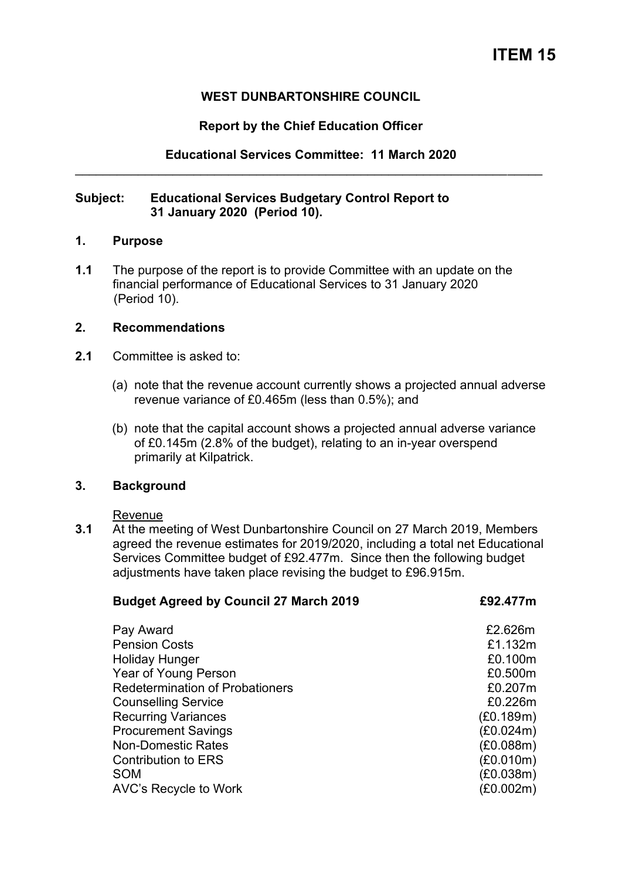# **WEST DUNBARTONSHIRE COUNCIL**

## **Report by the Chief Education Officer**

**Educational Services Committee: 11 March 2020**  \_\_\_\_\_\_\_\_\_\_\_\_\_\_\_\_\_\_\_\_\_\_\_\_\_\_\_\_\_\_\_\_\_\_\_\_\_\_\_\_\_\_\_\_\_\_\_\_\_\_\_\_\_\_\_\_\_\_\_\_\_\_\_\_\_\_\_

## **Subject: Educational Services Budgetary Control Report to 31 January 2020 (Period 10).**

#### **1. Purpose**

**1.1** The purpose of the report is to provide Committee with an update on the financial performance of Educational Services to 31 January 2020 (Period 10).

## **2. Recommendations**

- **2.1** Committee is asked to:
	- (a) note that the revenue account currently shows a projected annual adverse revenue variance of £0.465m (less than 0.5%); and
	- (b) note that the capital account shows a projected annual adverse variance of £0.145m (2.8% of the budget), relating to an in-year overspend primarily at Kilpatrick.

## **3. Background**

Revenue

**3.1** At the meeting of West Dunbartonshire Council on 27 March 2019, Members agreed the revenue estimates for 2019/2020, including a total net Educational Services Committee budget of £92.477m. Since then the following budget adjustments have taken place revising the budget to £96.915m.

| <b>Budget Agreed by Council 27 March 2019</b> | £92.477m  |
|-----------------------------------------------|-----------|
| Pay Award                                     | £2.626m   |
| <b>Pension Costs</b>                          | £1.132m   |
| <b>Holiday Hunger</b>                         | £0.100m   |
| <b>Year of Young Person</b>                   | £0.500m   |
| <b>Redetermination of Probationers</b>        | £0.207m   |
| <b>Counselling Service</b>                    | £0.226m   |
| <b>Recurring Variances</b>                    | (E0.189m) |
| <b>Procurement Savings</b>                    | (£0.024m) |
| <b>Non-Domestic Rates</b>                     | (£0.088m) |
| <b>Contribution to ERS</b>                    | (E0.010m) |
| <b>SOM</b>                                    | (£0.038m) |
| AVC's Recycle to Work                         | (£0.002m) |
|                                               |           |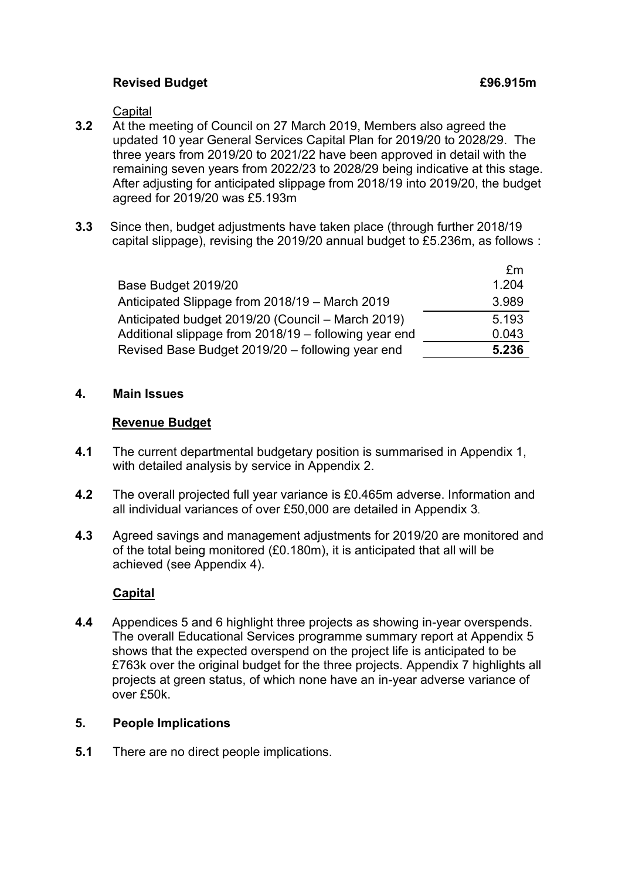# **Revised Budget E96.915m**

**Capital** 

- **3.2** At the meeting of Council on 27 March 2019, Members also agreed the updated 10 year General Services Capital Plan for 2019/20 to 2028/29. The three years from 2019/20 to 2021/22 have been approved in detail with the remaining seven years from 2022/23 to 2028/29 being indicative at this stage. After adjusting for anticipated slippage from 2018/19 into 2019/20, the budget agreed for 2019/20 was £5.193m
- **3.3** Since then, budget adjustments have taken place (through further 2018/19 capital slippage), revising the 2019/20 annual budget to £5.236m, as follows :

|                                                       | £m    |
|-------------------------------------------------------|-------|
| Base Budget 2019/20                                   | 1.204 |
| Anticipated Slippage from 2018/19 – March 2019        | 3.989 |
| Anticipated budget 2019/20 (Council – March 2019)     | 5.193 |
| Additional slippage from 2018/19 – following year end | 0.043 |
| Revised Base Budget 2019/20 - following year end      | 5.236 |

## **4. Main Issues**

#### **Revenue Budget**

- **4.1** The current departmental budgetary position is summarised in Appendix 1, with detailed analysis by service in Appendix 2.
- **4.2** The overall projected full year variance is £0.465m adverse. Information and all individual variances of over £50,000 are detailed in Appendix 3.
- **4.3** Agreed savings and management adjustments for 2019/20 are monitored and of the total being monitored (£0.180m), it is anticipated that all will be achieved (see Appendix 4).

## **Capital**

**4.4** Appendices 5 and 6 highlight three projects as showing in-year overspends. The overall Educational Services programme summary report at Appendix 5 shows that the expected overspend on the project life is anticipated to be £763k over the original budget for the three projects. Appendix 7 highlights all projects at green status, of which none have an in-year adverse variance of over £50k.

#### **5. People Implications**

**5.1** There are no direct people implications.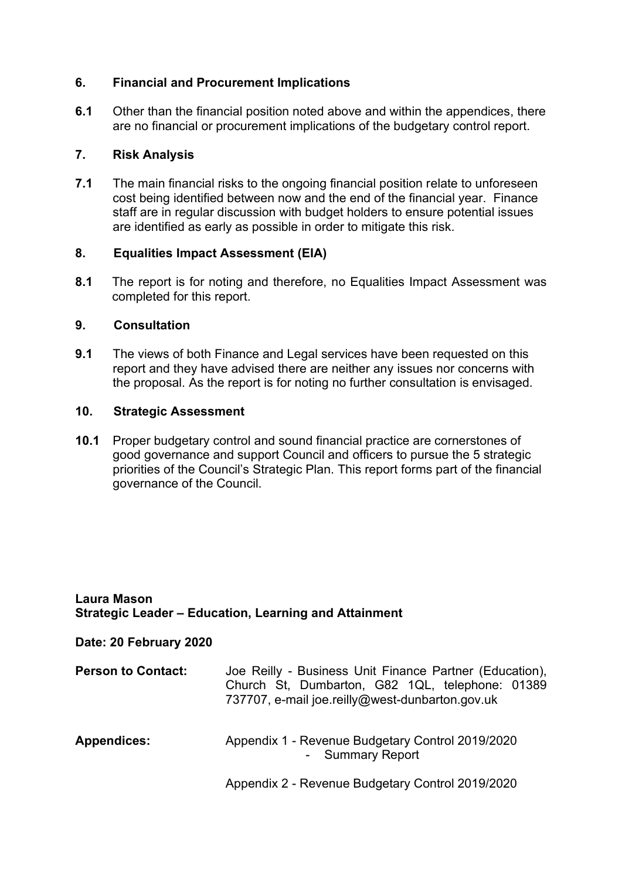# **6. Financial and Procurement Implications**

**6.1** Other than the financial position noted above and within the appendices, there are no financial or procurement implications of the budgetary control report.

## **7. Risk Analysis**

**7.1** The main financial risks to the ongoing financial position relate to unforeseen cost being identified between now and the end of the financial year. Finance staff are in regular discussion with budget holders to ensure potential issues are identified as early as possible in order to mitigate this risk.

## **8. Equalities Impact Assessment (EIA)**

**8.1** The report is for noting and therefore, no Equalities Impact Assessment was completed for this report.

# **9. Consultation**

**9.1** The views of both Finance and Legal services have been requested on this report and they have advised there are neither any issues nor concerns with the proposal. As the report is for noting no further consultation is envisaged.

## **10. Strategic Assessment**

**10.1** Proper budgetary control and sound financial practice are cornerstones of good governance and support Council and officers to pursue the 5 strategic priorities of the Council's Strategic Plan. This report forms part of the financial governance of the Council.

#### **Laura Mason Strategic Leader – Education, Learning and Attainment**

## **Date: 20 February 2020**

| <b>Person to Contact:</b> | Joe Reilly - Business Unit Finance Partner (Education),<br>Church St, Dumbarton, G82 1QL, telephone: 01389<br>737707, e-mail joe.reilly@west-dunbarton.gov.uk |
|---------------------------|---------------------------------------------------------------------------------------------------------------------------------------------------------------|
| <b>Appendices:</b>        | Appendix 1 - Revenue Budgetary Control 2019/2020<br>- Summary Report                                                                                          |
|                           | Appendix 2 - Revenue Budgetary Control 2019/2020                                                                                                              |